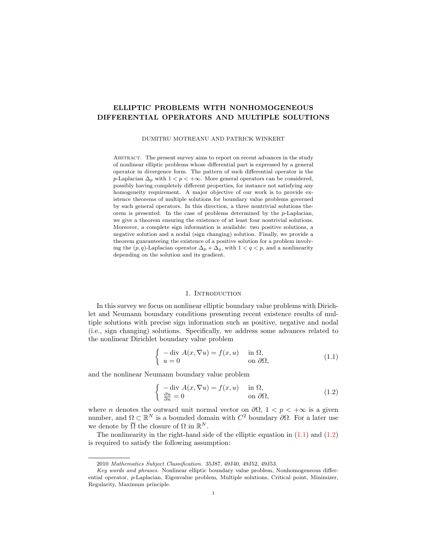# ELLIPTIC PROBLEMS WITH NONHOMOGENEOUS DIFFERENTIAL OPERATORS AND MULTIPLE SOLUTIONS

DUMITRU MOTREANU AND PATRICK WINKERT

ABSTRACT. The present survey aims to report on recent advances in the study of nonlinear elliptic problems whose differential part is expressed by a general operator in divergence form. The pattern of such differential operator is the p-Laplacian  $\Delta_p$  with  $1 < p < +\infty$ . More general operators can be considered, possibly having completely different properties, for instance not satisfying any homogeneity requirement. A major objective of our work is to provide existence theorems of multiple solutions for boundary value problems governed by such general operators. In this direction, a three nontrivial solutions theorem is presented. In the case of problems determined by the p-Laplacian, we give a theorem ensuring the existence of at least four nontrivial solutions. Moreover, a complete sign information is available: two positive solutions, a negative solution and a nodal (sign changing) solution. Finally, we provide a theorem guaranteeing the existence of a positive solution for a problem involving the  $(p, q)$ -Laplacian operator  $\Delta_p + \Delta_q$ , with  $1 < q < p$ , and a nonlinearity depending on the solution and its gradient.

#### 1. Introduction

In this survey we focus on nonlinear elliptic boundary value problems with Dirichlet and Neumann boundary conditions presenting recent existence results of multiple solutions with precise sign information such as positive, negative and nodal (i.e., sign changing) solutions. Specifically, we address some advances related to the nonlinear Dirichlet boundary value problem

<span id="page-0-0"></span>
$$
\begin{cases}\n-\text{div } A(x, \nabla u) = f(x, u) & \text{in } \Omega, \\
u = 0 & \text{on } \partial\Omega,\n\end{cases}
$$
\n(1.1)

and the nonlinear Neumann boundary value problem

<span id="page-0-1"></span>
$$
\begin{cases}\n-\text{div } A(x, \nabla u) = f(x, u) & \text{in } \Omega, \\
\frac{\partial u}{\partial n} = 0 & \text{on } \partial \Omega,\n\end{cases}
$$
\n(1.2)

where *n* denotes the outward unit normal vector on  $\partial\Omega$ ,  $1 < p < +\infty$  is a given number, and  $\Omega \subset \mathbb{R}^N$  is a bounded domain with  $C^2$  boundary  $\partial\Omega$ . For a later use we denote by  $\overline{\Omega}$  the closure of  $\Omega$  in  $\mathbb{R}^N$ .

The nonlinearity in the right-hand side of the elliptic equation in  $(1.1)$  and  $(1.2)$ is required to satisfy the following assumption:

<sup>2010</sup> Mathematics Subject Classification. 35J87, 49J40, 49J52, 49J53.

Key words and phrases. Nonlinear elliptic boundary value problem, Nonhomogeneous differential operator, p-Laplacian, Eigenvalue problem, Multiple solutions, Critical point, Minimizer, Regularity, Maximum principle.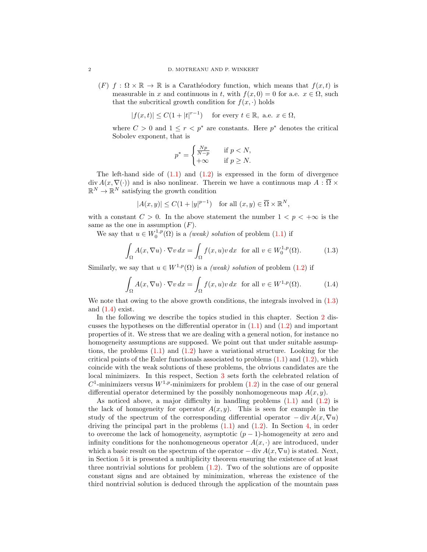(F)  $f : \Omega \times \mathbb{R} \to \mathbb{R}$  is a Carathéodory function, which means that  $f(x, t)$  is measurable in x and continuous in t, with  $f(x, 0) = 0$  for a.e.  $x \in \Omega$ , such that the subcritical growth condition for  $f(x, \cdot)$  holds

$$
|f(x,t)| \le C(1+|t|^{r-1}) \quad \text{ for every } t \in \mathbb{R}, \text{ a.e. } x \in \Omega,
$$

where  $C > 0$  and  $1 \leq r < p^*$  are constants. Here  $p^*$  denotes the critical Sobolev exponent, that is

<span id="page-1-1"></span><span id="page-1-0"></span>
$$
p^* = \begin{cases} \frac{Np}{N-p} & \text{if } p < N, \\ +\infty & \text{if } p \ge N. \end{cases}
$$

The left-hand side of  $(1.1)$  and  $(1.2)$  is expressed in the form of divergence div  $A(x, \nabla(\cdot))$  and is also nonlinear. Therein we have a continuous map  $A : \overline{\Omega} \times$  $\mathbb{R}^N \to \mathbb{R}^N$  satisfying the growth condition

$$
|A(x,y)| \le C(1+|y|^{p-1}) \quad \text{for all } (x,y) \in \overline{\Omega} \times \mathbb{R}^N,
$$

with a constant  $C > 0$ . In the above statement the number  $1 < p < +\infty$  is the same as the one in assumption  $(F)$ .

We say that  $u \in W_0^{1,p}(\Omega)$  is a *(weak) solution* of problem [\(1.1\)](#page-0-0) if

$$
\int_{\Omega} A(x, \nabla u) \cdot \nabla v \, dx = \int_{\Omega} f(x, u)v \, dx \text{ for all } v \in W_0^{1, p}(\Omega). \tag{1.3}
$$

Similarly, we say that  $u \in W^{1,p}(\Omega)$  is a *(weak) solution* of problem [\(1.2\)](#page-0-1) if

$$
\int_{\Omega} A(x, \nabla u) \cdot \nabla v \, dx = \int_{\Omega} f(x, u)v \, dx \text{ for all } v \in W^{1, p}(\Omega). \tag{1.4}
$$

We note that owing to the above growth conditions, the integrals involved in  $(1.3)$ and  $(1.4)$  exist.

In the following we describe the topics studied in this chapter. Section [2](#page-2-0) discusses the hypotheses on the differential operator in  $(1.1)$  and  $(1.2)$  and important properties of it. We stress that we are dealing with a general notion, for instance no homogeneity assumptions are supposed. We point out that under suitable assumptions, the problems  $(1.1)$  and  $(1.2)$  have a variational structure. Looking for the critical points of the Euler functionals associated to problems  $(1.1)$  and  $(1.2)$ , which coincide with the weak solutions of these problems, the obvious candidates are the local minimizers. In this respect, Section [3](#page-4-0) sets forth the celebrated relation of  $C^1$ -minimizers versus  $W^{1,p}$ -minimizers for problem  $(1.2)$  in the case of our general differential operator determined by the possibly nonhomogeneous map  $A(x, y)$ .

As noticed above, a major difficulty in handling problems  $(1.1)$  and  $(1.2)$  is the lack of homogeneity for operator  $A(x, y)$ . This is seen for example in the study of the spectrum of the corresponding differential operator  $-\text{div} A(x, \nabla u)$ driving the principal part in the problems  $(1.1)$  and  $(1.2)$ . In Section [4,](#page-5-0) in order to overcome the lack of homogeneity, asymptotic  $(p-1)$ -homogeneity at zero and infinity conditions for the nonhomogeneous operator  $A(x, \cdot)$  are introduced, under which a basic result on the spectrum of the operator  $-\text{div } A(x, \nabla u)$  is stated. Next, in Section [5](#page-6-0) it is presented a multiplicity theorem ensuring the existence of at least three nontrivial solutions for problem  $(1.2)$ . Two of the solutions are of opposite constant signs and are obtained by minimization, whereas the existence of the third nontrivial solution is deduced through the application of the mountain pass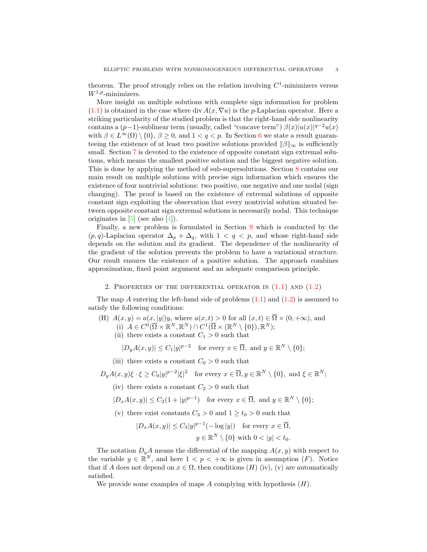theorem. The proof strongly relies on the relation involving  $C<sup>1</sup>$ -minimizers versus  $W^{1,p}$ -minimizers.

More insight on multiple solutions with complete sign information for problem  $(1.1)$  is obtained in the case where div  $A(x, \nabla u)$  is the p-Laplacian operator. Here a striking particularity of the studied problem is that the right-hand side nonlinearity contains a  $(p-1)$ -sublinear term (usually, called "concave term")  $\beta(x)|u(x)|^{q-2}u(x)$ with  $\beta \in L^{\infty}(\Omega) \setminus \{0\}, \beta \geq 0$ , and  $1 < q < p$ . In Section [6](#page-9-0) we state a result guaranteeing the existence of at least two positive solutions provided  $\|\beta\|_{\infty}$  is sufficiently small. Section [7](#page-11-0) is devoted to the existence of opposite constant sign extremal solutions, which means the smallest positive solution and the biggest negative solution. This is done by applying the method of sub-supersolutions. Section [8](#page-14-0) contains our main result on multiple solutions with precise sign information which ensures the existence of four nontrivial solutions: two positive, one negative and one nodal (sign changing). The proof is based on the existence of extremal solutions of opposite constant sign exploiting the observation that every nontrivial solution situated between opposite constant sign extremal solutions is necessarily nodal. This technique originates in  $[5]$  (see also  $[4]$ ).

Finally, a new problem is formulated in Section [9](#page-15-0) which is conducted by the  $(p, q)$ -Laplacian operator  $\Delta_p + \Delta_q$ , with  $1 < q < p$ , and whose right-hand side depends on the solution and its gradient. The dependence of the nonlinearity of the gradient of the solution prevents the problem to have a variational structure. Our result ensures the existence of a positive solution. The approach combines approximation, fixed point argument and an adequate comparison principle.

2. PROPERTIES OF THE DIFFERENTIAL OPERATOR IN  $(1.1)$  AND  $(1.2)$ 

<span id="page-2-0"></span>The map A entering the left-hand side of problems  $(1.1)$  and  $(1.2)$  is assumed to satisfy the following conditions:

(H)  $A(x, y) = a(x, |y|)y$ , where  $a(x, t) > 0$  for all  $(x, t) \in \overline{\Omega} \times (0, +\infty)$ , and

- (i)  $A \in C^0(\overline{\Omega} \times \mathbb{R}^N, \mathbb{R}^N) \cap C^1(\overline{\Omega} \times (\mathbb{R}^N \setminus \{0\}), \mathbb{R}^N);$
- (ii) there exists a constant  $C_1 > 0$  such that

 $|D_yA(x,y)| \leq C_1|y|^{p-2}$  for every  $x \in \overline{\Omega}$ , and  $y \in \mathbb{R}^N \setminus \{0\};$ 

(iii) there exists a constant  $C_0 > 0$  such that

$$
D_y A(x, y) \xi \cdot \xi \ge C_0 |y|^{p-2} |\xi|^2
$$
 for every  $x \in \overline{\Omega}, y \in \mathbb{R}^N \setminus \{0\}$ , and  $\xi \in \mathbb{R}^N$ ;

- (iv) there exists a constant  $C_2 > 0$  such that
- $|D_xA(x,y)| \leq C_2(1+|y|^{p-1})$  for every  $x \in \overline{\Omega}$ , and  $y \in \mathbb{R}^N \setminus \{0\};$
- (v) there exist constants  $C_3 > 0$  and  $1 \ge t_0 > 0$  such that

$$
|D_x A(x, y)| \le C_3 |y|^{p-1} (-\log |y|)
$$
 for every  $x \in \overline{\Omega}$ ,  
 $y \in \mathbb{R}^N \setminus \{0\}$  with  $0 < |y| < t_0$ .

The notation  $D_yA$  means the differential of the mapping  $A(x, y)$  with respect to the variable  $y \in \mathbb{R}^N$ , and here  $1 < p < +\infty$  is given in assumption  $(F)$ . Notice that if A does not depend on  $x \in \Omega$ , then conditions  $(H)$  (iv), (v) are automatically satisfied.

We provide some examples of maps A complying with hypothesis  $(H)$ .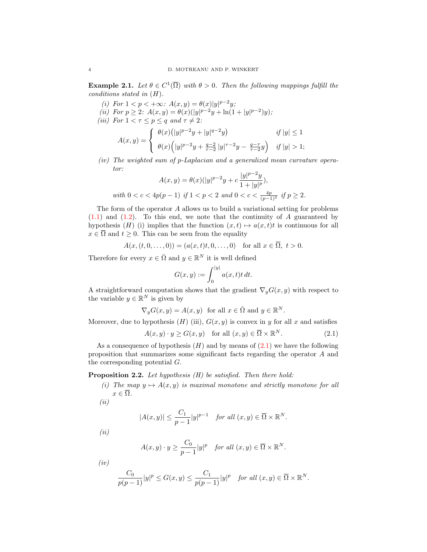**Example 2.1.** Let  $\theta \in C^1(\overline{\Omega})$  with  $\theta > 0$ . Then the following mappings fulfill the conditions stated in  $(H)$ .

- (i) For  $1 < p < +\infty$ :  $A(x, y) = \theta(x)|y|^{p-2}y$ ;
- (ii) For  $p \geq 2$ :  $A(x, y) = \theta(x)(|y|^{p-2}y + \ln(1+|y|^{p-2})y)$ ;
- (iii) For  $1 < \tau \leq p \leq q$  and  $\tau \neq 2$ :

$$
A(x,y) = \begin{cases} \theta(x) (|y|^{p-2}y + |y|^{q-2}y) & \text{if } |y| \le 1 \\ \theta(x) (|y|^{p-2}y + \frac{q-2}{\tau-2}|y|^{\tau-2}y - \frac{q-\tau}{\tau-2}y) & \text{if } |y| > 1; \end{cases}
$$

(iv) The weighted sum of p-Laplacian and a generalized mean curvature operator:

$$
A(x,y)=\theta(x)(|y|^{p-2}y+c\frac{|y|^{p-2}y}{1+|y|^p}),
$$
 with  $0 < c < 4p(p-1)$  if  $1 < p < 2$  and  $0 < c < \frac{4p}{(p-1)^2}$  if  $p \geq 2$ .

The form of the operator A allows us to build a variational setting for problems  $(1.1)$  and  $(1.2)$ . To this end, we note that the continuity of A guaranteed by hypothesis (H) (i) implies that the function  $(x, t) \mapsto a(x, t)t$  is continuous for all  $x \in \overline{\Omega}$  and  $t \geq 0$ . This can be seen from the equality

$$
A(x, (t, 0, \dots, 0)) = (a(x, t)t, 0, \dots, 0) \text{ for all } x \in \overline{\Omega}, t > 0.
$$

Therefore for every  $x \in \overline{\Omega}$  and  $y \in \mathbb{R}^N$  it is well defined

<span id="page-3-0"></span>
$$
G(x,y) := \int_0^{|y|} a(x,t)t \, dt.
$$

A straightforward computation shows that the gradient  $\nabla_y G(x, y)$  with respect to the variable  $y \in \mathbb{R}^N$  is given by

$$
\nabla_y G(x, y) = A(x, y) \text{ for all } x \in \overline{\Omega} \text{ and } y \in \mathbb{R}^N.
$$

Moreover, due to hypothesis  $(H)$  (iii),  $G(x, y)$  is convex in y for all x and satisfies

$$
A(x, y) \cdot y \ge G(x, y) \quad \text{for all } (x, y) \in \overline{\Omega} \times \mathbb{R}^N. \tag{2.1}
$$

As a consequence of hypothesis  $(H)$  and by means of  $(2.1)$  we have the following proposition that summarizes some significant facts regarding the operator A and the corresponding potential G.

# <span id="page-3-1"></span>**Proposition 2.2.** Let hypothesis  $(H)$  be satisfied. Then there hold:

- (i) The map  $y \mapsto A(x, y)$  is maximal monotone and strictly monotone for all  $x \in \overline{\Omega}$ .
- $(ii)$

$$
|A(x,y)| \le \frac{C_1}{p-1}|y|^{p-1} \quad \text{for all } (x,y) \in \overline{\Omega} \times \mathbb{R}^N.
$$

(ii)

$$
A(x,y) \cdot y \ge \frac{C_0}{p-1}|y|^p \quad \text{for all } (x,y) \in \overline{\Omega} \times \mathbb{R}^N.
$$

 $(iv)$ 

$$
\frac{C_0}{p(p-1)}|y|^p \le G(x,y) \le \frac{C_1}{p(p-1)}|y|^p \quad \text{for all } (x,y) \in \overline{\Omega} \times \mathbb{R}^N.
$$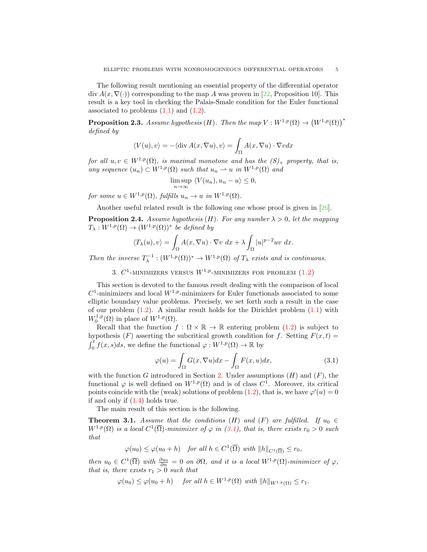The following result mentioning an essential property of the differential operator  $\text{div } A(x, \nabla(\cdot))$  corresponding to the map A was proven in [\[22,](#page-18-2) Proposition 10]. This result is a key tool in checking the Palais-Smale condition for the Euler functional associated to problems  $(1.1)$  and  $(1.2)$ .

<span id="page-4-3"></span>**Proposition 2.3.** Assume hypothesis (H). Then the map  $V : W^{1,p}(\Omega) \to (W^{1,p}(\Omega))^*$ defined by

$$
\langle V(u), v \rangle = -\langle \operatorname{div} A(x, \nabla u), v \rangle = \int_{\Omega} A(x, \nabla u) \cdot \nabla v dx
$$

for all  $u, v \in W^{1,p}(\Omega)$ , is maximal monotone and has the  $(S)_+$  property, that is, any sequence  $(u_n) \subset W^{1,p}(\Omega)$  such that  $u_n \rightharpoonup u$  in  $W^{1,p}(\Omega)$  and

$$
\limsup_{n \to \infty} \langle V(u_n), u_n - u \rangle \le 0,
$$

for some  $u \in W^{1,p}(\Omega)$ , fulfills  $u_n \to u$  in  $W^{1,p}(\Omega)$ .

Another useful related result is the following one whose proof is given in [\[26\]](#page-18-3).

**Proposition 2.4.** Assume hypothesis (H). For any number  $\lambda > 0$ , let the mapping  $T_{\lambda}: W^{1,p}(\Omega) \to (W^{1,p}(\Omega))^*$  be defined by

$$
\langle T_{\lambda}(u), v \rangle = \int_{\Omega} A(x, \nabla u) \cdot \nabla v \, dx + \lambda \int_{\Omega} |u|^{p-2}uv \, dx.
$$

<span id="page-4-0"></span>Then the inverse  $T_{\lambda}^{-1} : (W^{1,p}(\Omega))^* \to W^{1,p}(\Omega)$  of  $T_{\lambda}$  exists and is continuous.

3.  $C^1$ -MINIMIZERS VERSUS  $W^{1,p}$ -MINIMIZERS FOR PROBLEM  $(1.2)$ 

This section is devoted to the famous result dealing with the comparison of local  $C^1$ -minimizers and local  $W^{1,p}$ -minimizers for Euler functionals associated to some elliptic boundary value problems. Precisely, we set forth such a result in the case of our problem  $(1.2)$ . A similar result holds for the Dirichlet problem  $(1.1)$  with  $W_0^{1,p}(\Omega)$  in place of  $W^{1,p}(\Omega)$ .

Recall that the function  $f : \Omega \times \mathbb{R} \to \mathbb{R}$  entering problem [\(1.2\)](#page-0-1) is subject to hypothesis (F) asserting the subcritical growth condition for f. Setting  $F(x, t) =$  $\int_0^t f(x, s)ds$ , we define the functional  $\varphi: W^{1,p}(\Omega) \to \mathbb{R}$  by

<span id="page-4-1"></span>
$$
\varphi(u) = \int_{\Omega} G(x, \nabla u) dx - \int_{\Omega} F(x, u) dx,
$$
\n(3.1)

with the function G introduced in Section [2.](#page-2-0) Under assumptions  $(H)$  and  $(F)$ , the functional  $\varphi$  is well defined on  $W^{1,p}(\Omega)$  and is of class  $C^1$ . Moreover, its critical points coincide with the (weak) solutions of problem [\(1.2\)](#page-0-1), that is, we have  $\varphi'(u) = 0$ if and only if [\(1.4\)](#page-1-1) holds true.

The main result of this section is the following.

<span id="page-4-2"></span>**Theorem 3.1.** Assume that the conditions (H) and (F) are fulfilled. If  $u_0 \in$  $W^{1,p}(\Omega)$  is a local  $C^1(\overline{\Omega})$ -minimizer of  $\varphi$  in [\(3.1\)](#page-4-1), that is, there exists  $r_0 > 0$  such that

 $\varphi(u_0) \leq \varphi(u_0 + h)$  for all  $h \in C^1(\overline{\Omega})$  with  $||h||_{C^1(\overline{\Omega})} \leq r_0$ ,

then  $u_0 \in C^1(\overline{\Omega})$  with  $\frac{\partial u_0}{\partial n} = 0$  on  $\partial\Omega$ , and it is a local  $W^{1,p}(\Omega)$ -minimizer of  $\varphi$ , that is, there exists  $r_1 > 0$  such that

$$
\varphi(u_0) \le \varphi(u_0 + h) \quad \text{ for all } h \in W^{1,p}(\Omega) \text{ with } ||h||_{W^{1,p}(\Omega)} \le r_1.
$$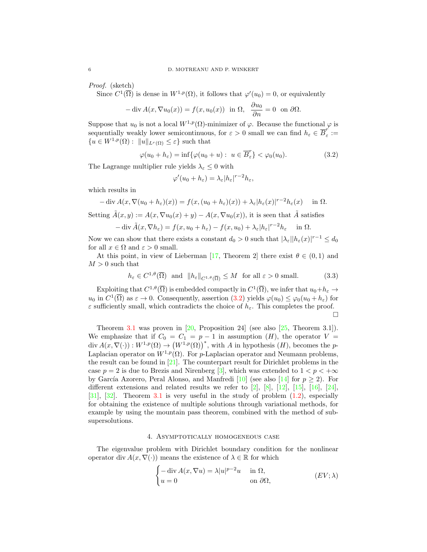Proof. (sketch)

Since  $C^1(\overline{\Omega})$  is dense in  $W^{1,p}(\Omega)$ , it follows that  $\varphi'(u_0) = 0$ , or equivalently

$$
-\operatorname{div} A(x, \nabla u_0(x)) = f(x, u_0(x)) \text{ in } \Omega, \ \ \frac{\partial u_0}{\partial n} = 0 \ \text{ on } \partial \Omega.
$$

Suppose that  $u_0$  is not a local  $W^{1,p}(\Omega)$ -minimizer of  $\varphi$ . Because the functional  $\varphi$  is sequentially weakly lower semicontinuous, for  $\varepsilon > 0$  small we can find  $h_{\varepsilon} \in \overline{B}_{\varepsilon}^r$  $\frac{\cdot}{\varepsilon}:=$  ${u \in W^{1,p}(\Omega): \|u\|_{L^r(\Omega)} \leq \varepsilon}$  such that

<span id="page-5-1"></span>
$$
\varphi(u_0 + h_{\varepsilon}) = \inf \{ \varphi(u_0 + u) : u \in \overline{B}_{\varepsilon}^r \} < \varphi_0(u_0). \tag{3.2}
$$

The Lagrange multiplier rule yields  $\lambda_{\varepsilon} \leq 0$  with

$$
\varphi'(u_0 + h_{\varepsilon}) = \lambda_{\varepsilon} |h_{\varepsilon}|^{r-2} h_{\varepsilon},
$$

which results in

$$
-\operatorname{div} A(x, \nabla(u_0 + h_{\varepsilon})(x)) = f(x, (u_0 + h_{\varepsilon})(x)) + \lambda_{\varepsilon} |h_{\varepsilon}(x)|^{r-2} h_{\varepsilon}(x) \quad \text{in } \Omega.
$$

Setting  $\tilde{A}(x, y) := A(x, \nabla u_0(x) + y) - A(x, \nabla u_0(x))$ , it is seen that  $\tilde{A}$  satisfies

$$
-\operatorname{div}\tilde{A}(x,\nabla h_{\varepsilon}) = f(x,u_0+h_{\varepsilon}) - f(x,u_0) + \lambda_{\varepsilon}|h_{\varepsilon}|^{r-2}h_{\varepsilon} \quad \text{in } \Omega.
$$

Now we can show that there exists a constant  $d_0 > 0$  such that  $|\lambda_{\varepsilon}| |h_{\varepsilon}(x)|^{r-1} \leq d_0$ for all  $x \in \Omega$  and  $\varepsilon > 0$  small.

At this point, in view of Lieberman [\[17,](#page-18-4) Theorem 2] there exist  $\theta \in (0,1)$  and  $M > 0$  such that

$$
h_{\varepsilon} \in C^{1,\theta}(\overline{\Omega}) \quad \text{and} \quad \|h_{\varepsilon}\|_{C^{1,\theta}(\overline{\Omega})} \le M \quad \text{for all } \varepsilon > 0 \text{ small.} \tag{3.3}
$$

Exploiting that  $C^{1,\theta}(\overline{\Omega})$  is embedded compactly in  $C^1(\overline{\Omega})$ , we infer that  $u_0+h_{\varepsilon} \to$  $u_0$  in  $C^1(\overline{\Omega})$  as  $\varepsilon \to 0$ . Consequently, assertion  $(3.2)$  yields  $\varphi(u_0) \leq \varphi_0(u_0 + h_{\varepsilon})$  for  $\varepsilon$  sufficiently small, which contradicts the choice of  $h_\varepsilon.$  This completes the proof.  $\Box$ 

Theorem [3.1](#page-4-2) was proven in  $[20,$  Proposition 24] (see also  $[25,$  Theorem 3.1]). We emphasize that if  $C_0 = C_1 = p - 1$  in assumption  $(H)$ , the operator  $V =$  $\text{div } A(x, \nabla(\cdot)) : W^{1,p}(\Omega) \to (W^{1,p}(\Omega))^*$ , with A in hypothesis  $(H)$ , becomes the p-Laplacian operator on  $W^{1,p}(\Omega)$ . For p-Laplacian operator and Neumann problems, the result can be found in [\[21\]](#page-18-7). The counterpart result for Dirichlet problems in the case  $p = 2$  is due to Brezis and Nirenberg [\[3\]](#page-18-8), which was extended to  $1 < p < +\infty$ by García Azorero, Peral Alonso, and Manfredi [\[10\]](#page-18-9) (see also [\[14\]](#page-18-10) for  $p \ge 2$ ). For different extensions and related results we refer to  $[2]$ ,  $[8]$ ,  $[12]$ ,  $[15]$ ,  $[16]$ ,  $[24]$ , [\[31\]](#page-19-0), [\[32\]](#page-19-1). Theorem [3.1](#page-4-2) is very useful in the study of problem [\(1.2\)](#page-0-1), especially for obtaining the existence of multiple solutions through variational methods, for example by using the mountain pass theorem, combined with the method of subsupersolutions.

# 4. Asymptotically homogeneous case

<span id="page-5-0"></span>The eigenvalue problem with Dirichlet boundary condition for the nonlinear operator div  $A(x, \nabla(\cdot))$  means the existence of  $\lambda \in \mathbb{R}$  for which

$$
\begin{cases}\n-\operatorname{div} A(x, \nabla u) = \lambda |u|^{p-2}u & \text{in } \Omega, \\
u = 0 & \text{on } \partial \Omega,\n\end{cases}
$$
\n
$$
(EV; \lambda)
$$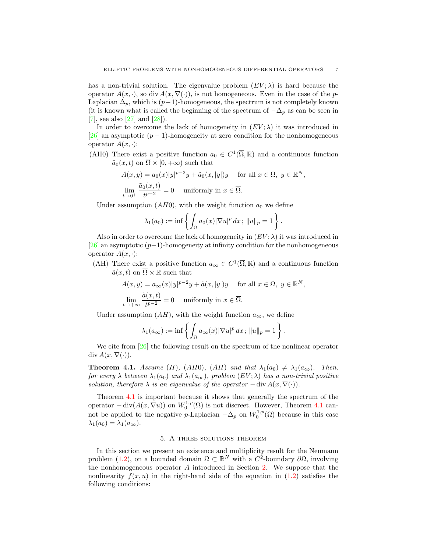has a non-trivial solution. The eigenvalue problem  $(EV; \lambda)$  is hard because the operator  $A(x, \cdot)$ , so div  $A(x, \nabla(\cdot))$ , is not homogeneous. Even in the case of the p-Laplacian  $\Delta_p$ , which is  $(p-1)$ -homogeneous, the spectrum is not completely known (it is known what is called the beginning of the spectrum of  $-\Delta_p$  as can be seen in [\[7\]](#page-18-16), see also [\[27\]](#page-18-17) and [\[28\]](#page-19-2)).

In order to overcome the lack of homogeneity in  $(EV; \lambda)$  it was introduced in [\[26\]](#page-18-3) an asymptotic  $(p-1)$ -homogeneity at zero condition for the nonhomogeneous operator  $A(x, \cdot)$ :

(AH0) There exist a positive function  $a_0 \in C^1(\overline{\Omega}, \mathbb{R})$  and a continuous function  $\tilde{a}_0(x, t)$  on  $\overline{\Omega} \times [0, +\infty)$  such that

$$
A(x, y) = a_0(x)|y|^{p-2}y + \tilde{a}_0(x, |y|)y \quad \text{for all } x \in \Omega, y \in \mathbb{R}^N,
$$
  

$$
\lim_{t \to 0^+} \frac{\tilde{a}_0(x, t)}{t^{p-2}} = 0 \quad \text{uniformly in } x \in \overline{\Omega}.
$$

Under assumption  $(AH0)$ , with the weight function  $a_0$  we define

$$
\lambda_1(a_0) := \inf \left\{ \int_{\Omega} a_0(x) |\nabla u|^p dx \, ; \, ||u||_p = 1 \right\}.
$$

Also in order to overcome the lack of homogeneity in  $(EV; \lambda)$  it was introduced in [\[26\]](#page-18-3) an asymptotic  $(p-1)$ -homogeneity at infinity condition for the nonhomogeneous operator  $A(x, \cdot)$ :

(AH) There exist a positive function  $a_{\infty} \in C^1(\overline{\Omega}, \mathbb{R})$  and a continuous function  $\tilde{a}(x, t)$  on  $\overline{\Omega} \times \mathbb{R}$  such that

$$
A(x, y) = a_{\infty}(x)|y|^{p-2}y + \tilde{a}(x, |y|)y \quad \text{ for all } x \in \Omega, y \in \mathbb{R}^{N},
$$
  

$$
\lim_{t \to +\infty} \frac{\tilde{a}(x, t)}{t^{p-2}} = 0 \quad \text{uniformly in } x \in \overline{\Omega}.
$$

Under assumption  $(AH)$ , with the weight function  $a_{\infty}$ , we define

$$
\lambda_1(a_{\infty}) := \inf \left\{ \int_{\Omega} a_{\infty}(x) |\nabla u|^p dx \, ; \, \|u\|_p = 1 \right\}.
$$

We cite from  $[26]$  the following result on the spectrum of the nonlinear operator  $\mathrm{div}\,A(x,\nabla(\cdot)).$ 

<span id="page-6-1"></span>**Theorem 4.1.** Assume (H), (AH0), (AH) and that  $\lambda_1(a_0) \neq \lambda_1(a_\infty)$ . Then, for every  $\lambda$  between  $\lambda_1(a_0)$  and  $\lambda_1(a_\infty)$ , problem  $(EV; \lambda)$  has a non-trivial positive solution, therefore  $\lambda$  is an eigenvalue of the operator  $-\text{div } A(x, \nabla(\cdot))$ .

Theorem [4.1](#page-6-1) is important because it shows that generally the spectrum of the operator  $-\text{div}(A(x,\nabla u))$  on  $W_0^{1,p}(\Omega)$  is not discreet. However, Theorem [4.1](#page-6-1) cannot be applied to the negative p-Laplacian  $-\Delta_p$  on  $W_0^{1,p}(\Omega)$  because in this case  $\lambda_1(a_0) = \lambda_1(a_\infty).$ 

## 5. A three solutions theorem

<span id="page-6-0"></span>In this section we present an existence and multiplicity result for the Neumann problem [\(1.2\)](#page-0-1), on a bounded domain  $\Omega \subset \mathbb{R}^N$  with a  $C^2$ -boundary  $\partial\Omega$ , involving the nonhomogeneous operator  $A$  introduced in Section [2.](#page-2-0) We suppose that the nonlinearity  $f(x, u)$  in the right-hand side of the equation in [\(1.2\)](#page-0-1) satisfies the following conditions: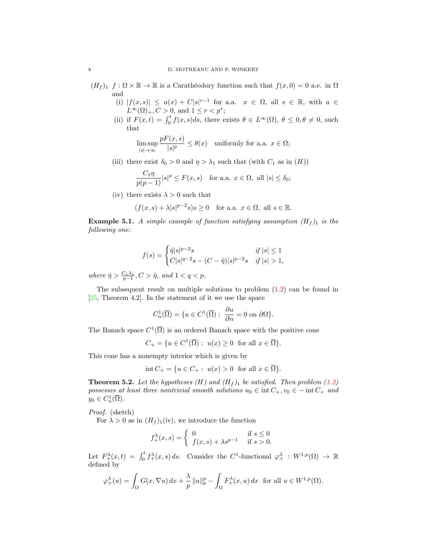- $(H_f)_1$   $f : \Omega \times \mathbb{R} \to \mathbb{R}$  is a Carathéodory function such that  $f(x, 0) = 0$  a.e. in  $\Omega$ and
	- (i)  $|f(x,s)| \le a(x) + C|s|^{r-1}$  for a.a.  $x \in \Omega$ , all  $s \in \mathbb{R}$ , with  $a \in$  $L^{\infty}(\Omega)_{+}, C > 0$ , and  $1 \leq r < p^*$ ;
	- (ii) if  $F(x,t) = \int_0^t f(x,s)ds$ , there exists  $\theta \in L^{\infty}(\Omega)$ ,  $\theta \leq 0, \theta \neq 0$ , such that

$$
\limsup_{|s| \to \infty} \frac{pF(x, s)}{|s|^p} \le \theta(x) \quad \text{uniformly for a.a. } x \in \Omega;
$$

(iii) there exist  $\delta_0 > 0$  and  $\eta > \lambda_1$  such that (with  $C_1$  as in  $(H)$ )

$$
\frac{C_1\eta}{p(p-1)}|s|^p \le F(x,s) \quad \text{for a.a. } x \in \Omega, \text{ all } |s| \le \delta_0;
$$

(iv) there exists  $\lambda > 0$  such that

$$
(f(x, s) + \lambda |s|^{p-2}s)s \ge 0
$$
 for a.a.  $x \in \Omega$ , all  $s \in \mathbb{R}$ .

**Example 5.1.** A simple example of function satisfying assumption  $(H_f)$  is the following one:

$$
f(s) = \begin{cases} \hat{\eta}|s|^{p-2}s & \text{if } |s| \le 1\\ C|s|^{q-2}s - (C - \hat{\eta})|s|^{p-2}s & \text{if } |s| > 1, \end{cases}
$$

where  $\hat{\eta} > \frac{C_1 \lambda_1}{p-1}, C > \hat{\eta}$ , and  $1 < q < p$ .

The subsequent result on multiple solutions to problem [\(1.2\)](#page-0-1) can be found in  $[25,$  Theorem 4.2. In the statement of it we use the space

$$
C_n^1(\overline{\Omega}) = \{ u \in C^1(\overline{\Omega}) : \ \frac{\partial u}{\partial n} = 0 \text{ on } \partial \Omega \}.
$$

The Banach space  $C^1(\overline{\Omega})$  is an ordered Banach space with the positive cone

 $C_+ = \{u \in C^1(\overline{\Omega}) : u(x) \ge 0 \text{ for all } x \in \overline{\Omega}\}.$ 

This cone has a nonempty interior which is given by

$$
int C_{+} = \{ u \in C_{+} : u(x) > 0 \text{ for all } x \in \overline{\Omega} \}.
$$

**Theorem 5.2.** Let the hypotheses (H) and  $(H_f)$  be satisfied. Then problem [\(1.2\)](#page-0-1) possesses at least three nontrivial smooth solutions  $u_0 \in \text{int } C_+$ ,  $v_0 \in - \text{int } C_+$  and  $y_0 \in C^1_n(\overline{\Omega}).$ 

Proof. (sketch)

For  $\lambda > 0$  as in  $(H_f)_{1}$ (iv), we introduce the function

$$
f_+^{\lambda}(x,s) = \begin{cases} 0 & \text{if } s \le 0\\ f(x,s) + \lambda s^{p-1} & \text{if } s > 0. \end{cases}
$$

Let  $F^{\lambda}_{+}(x,t) = \int_0^t f^{\lambda}_{+}(x,s) ds$ . Consider the C<sup>1</sup>-functional  $\varphi^{\lambda}_{+} : W^{1,p}(\Omega) \to \mathbb{R}$ defined by

$$
\varphi^{\lambda}_+(u) = \int_{\Omega} G(x, \nabla u) dx + \frac{\lambda}{p} ||u||_p^p - \int_{\Omega} F_+^{\lambda}(x, u) dx \text{ for all } u \in W^{1, p}(\Omega).
$$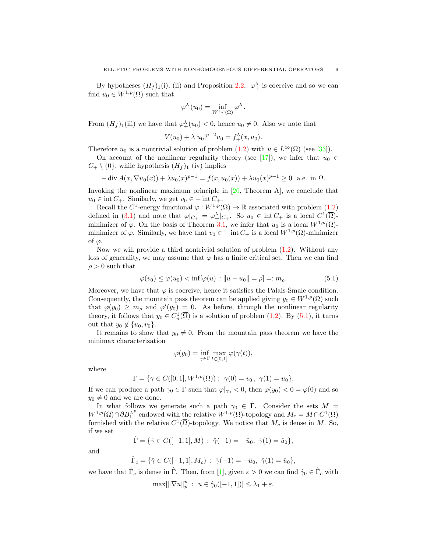By hypotheses  $(H_f)_1(i)$ , (ii) and Proposition [2.2,](#page-3-1)  $\varphi^{\lambda}_+$  is coercive and so we can find  $u_0 \in W^{1,p}(\Omega)$  such that

$$
\varphi_+^{\lambda}(u_0) = \inf_{W^{1,p}(\Omega)} \varphi_+^{\lambda}.
$$

From  $(H_f)$ <sub>1</sub>(iii) we have that  $\varphi_+^{\lambda}(u_0) < 0$ , hence  $u_0 \neq 0$ . Also we note that

$$
V(u_0) + \lambda |u_0|^{p-2} u_0 = f_+^{\lambda}(x, u_0).
$$

Therefore  $u_0$  is a nontrivial solution of problem  $(1.2)$  with  $u \in L^{\infty}(\Omega)$  (see [\[33\]](#page-19-3)).

On account of the nonlinear regularity theory (see [\[17\]](#page-18-4)), we infer that  $u_0 \in$  $C_+ \setminus \{0\}$ , while hypothesis  $(H_f)_1$  (iv) implies

$$
-\operatorname{div} A(x, \nabla u_0(x)) + \lambda u_0(x)^{p-1} = f(x, u_0(x)) + \lambda u_0(x)^{p-1} \ge 0 \text{ a.e. in } \Omega.
$$

Invoking the nonlinear maximum principle in [\[20,](#page-18-5) Theorem A], we conclude that  $u_0 \in \text{int } C_+$ . Similarly, we get  $v_0 \in -\text{int } C_+$ .

Recall the C<sup>1</sup>-energy functional  $\varphi: W^{1,p}(\Omega) \to \mathbb{R}$  associated with problem [\(1.2\)](#page-0-1) defined in [\(3.1\)](#page-4-1) and note that  $\varphi|_{C_+} = \varphi_+^{\lambda}|_{C_+}$ . So  $u_0 \in \text{int } C_+$  is a local  $C^1(\overline{\Omega})$ minimizer of  $\varphi$ . On the basis of Theorem [3.1,](#page-4-2) we infer that  $u_0$  is a local  $W^{1,p}(\Omega)$ minimizer of  $\varphi$ . Similarly, we have that  $v_0 \in - \text{int } C_+$  is a local  $W^{1,p}(\Omega)$ -minimizer of  $\varphi$ .

Now we will provide a third nontrivial solution of problem  $(1.2)$ . Without any loss of generality, we may assume that  $\varphi$  has a finite critical set. Then we can find  $\rho > 0$  such that

<span id="page-8-0"></span>
$$
\varphi(v_0) \le \varphi(u_0) < \inf[\varphi(u) : \|u - u_0\| = \rho] =: m_\rho. \tag{5.1}
$$

Moreover, we have that  $\varphi$  is coercive, hence it satisfies the Palais-Smale condition. Consequently, the mountain pass theorem can be applied giving  $y_0 \in W^{1,p}(\Omega)$  such that  $\varphi(y_0) \geq m_\rho$  and  $\varphi'(y_0) = 0$ . As before, through the nonlinear regularity theory, it follows that  $y_0 \in C^1_n(\overline{\Omega})$  is a solution of problem [\(1.2\)](#page-0-1). By [\(5.1\)](#page-8-0), it turns out that  $y_0 \notin \{u_0, v_0\}.$ 

It remains to show that  $y_0 \neq 0$ . From the mountain pass theorem we have the minimax characterization

$$
\varphi(y_0) = \inf_{\gamma \in \Gamma} \max_{t \in [0,1]} \varphi(\gamma(t)),
$$

where

$$
\Gamma = \{ \gamma \in C([0, 1], W^{1, p}(\Omega)) : \gamma(0) = v_0 \, , \, \gamma(1) = u_0 \}.
$$

If we can produce a path  $\gamma_0 \in \Gamma$  such that  $\varphi|_{\gamma_0} < 0$ , then  $\varphi(y_0) < 0 = \varphi(0)$  and so  $y_0 \neq 0$  and we are done.

In what follows we generate such a path  $\gamma_0 \in \Gamma$ . Consider the sets  $M =$  $W^{1,p}(\Omega) \cap \partial B_1^{L^p}$  endowed with the relative  $W^{1,p}(\Omega)$ -topology and  $M_c = M \cap C^1(\overline{\Omega})$ furnished with the relative  $C^1(\overline{\Omega})$ -topology. We notice that  $M_c$  is dense in M. So, if we set

$$
\hat{\Gamma} = \{ \hat{\gamma} \in C([-1, 1], M) : \hat{\gamma}(-1) = -\hat{u}_0, \hat{\gamma}(1) = \hat{u}_0 \},
$$

and

$$
\hat{\Gamma}_c = \{ \hat{\gamma} \in C([-1, 1], M_c) : \hat{\gamma}(-1) = -\hat{u}_0, \hat{\gamma}(1) = \hat{u}_0 \},
$$

we have that  $\hat{\Gamma}_c$  is dense in  $\hat{\Gamma}$ . Then, from [[1\]](#page-17-1), given  $\varepsilon > 0$  we can find  $\hat{\gamma}_0 \in \hat{\Gamma}_c$  with

$$
\max[\|\nabla u\|_p^p \; : \; u \in \hat{\gamma}_0([-1,1])] \leq \lambda_1 + \varepsilon.
$$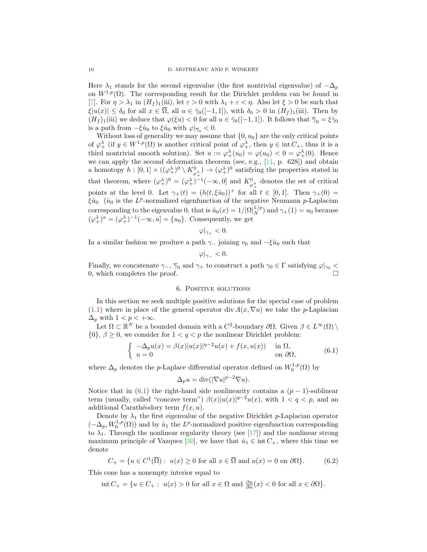Here  $\lambda_1$  stands for the second eigenvalue (the first nontrivial eigenvalue) of  $-\Delta_p$ on  $W^{1,p}(\Omega)$ . The corresponding result for the Dirichlet problem can be found in [\[7\]](#page-18-16). For  $\eta > \lambda_1$  in  $(H_f)_{1}$ (iii), let  $\varepsilon > 0$  with  $\lambda_1 + \varepsilon < \eta$ . Also let  $\xi > 0$  be such that  $|\xi|u(x)| \leq \delta_0$  for all  $x \in \overline{\Omega}$ , all  $u \in \hat{\gamma}_0([-1,1])$ , with  $\delta_0 > 0$  in  $(H_f)_1$ (iii). Then by  $(H_f)_1$ (iii) we deduce that  $\varphi(\xi u) < 0$  for all  $u \in \hat{\gamma}_0([-1,1])$ . It follows that  $\bar{\gamma}_0 = \xi \hat{\gamma}_0$ is a path from  $-\xi \hat{u}_0$  to  $\xi \hat{u}_0$  with  $\varphi|_{\overline{\gamma}_0} < 0$ .

Without loss of generality we may assume that  $\{0, u_0\}$  are the only critical points of  $\varphi^{\lambda}_+$  (if  $y \in W^{1,p}(\Omega)$  is another critical point of  $\varphi^{\lambda}_+$ , then  $y \in \text{int } C_+$ , thus it is a third nontrivial smooth solution). Set  $a := \varphi^{\lambda}_{+}(u_0) = \varphi(u_0) < 0 = \varphi^{\lambda}_{+}(0)$ . Hence we can apply the second deformation theorem (see, e.g.,  $[11, p. 628]$ ) and obtain a homotopy  $h: [0,1] \times ((\varphi^{\lambda}_+)^0 \setminus K^0_{\varphi^{\lambda}_+}) \to (\varphi^{\lambda}_+)^0$  satisfying the properties stated in that theorem, where  $(\varphi^{\lambda}_{+})^0 = (\varphi^{\lambda}_{+})^{-1}(-\infty, 0]$  and  $K^0_{\varphi^{\lambda}_{+}}$  denotes the set of critical points at the level 0. Let  $\gamma_+(t) = (h(t, \xi \hat{u}_0))^+$  for all  $t \in [0, 1]$ . Then  $\gamma_+(0) =$  $\xi \hat{u}_0$  ( $\hat{u}_0$  is the L<sup>p</sup>-normalized eigenfunction of the negative Neumann p-Laplacian corresponding to the eigenvalue 0, that is  $\hat{u}_0(x) = 1/|\Omega|_N^{1/p}$  and  $\gamma_+(1) = u_0$  because  $(\varphi_+^{\lambda})^a = (\varphi_+^{\lambda})^{-1}(-\infty, a] = \{u_0\}.$  Consequently, we get

$$
\varphi|_{\gamma_+}<0.
$$

In a similar fashion we produce a path  $\gamma$  joining  $v_0$  and  $-\xi \hat{u}_0$  such that

$$
\varphi|_{\gamma_-}<0.
$$

Finally, we concatenate  $\gamma_-, \overline{\gamma}_0$  and  $\gamma_+$  to construct a path  $\gamma_0 \in \Gamma$  satisfying  $\varphi|_{\gamma_0}$  < 0, which completes the proof.  $\Box$ 

#### 6. POSITIVE SOLUTIONS

<span id="page-9-0"></span>In this section we seek multiple positive solutions for the special case of problem [\(1.1\)](#page-0-0) where in place of the general operator div  $A(x, \nabla u)$  we take the *p*-Laplacian  $\Delta_p$  with  $1 < p < +\infty$ .

Let  $\Omega \subset \mathbb{R}^N$  be a bounded domain with a  $C^2$ -boundary  $\partial\Omega$ . Given  $\beta \in L^{\infty}(\Omega) \setminus$  $\{0\}, \beta \geq 0$ , we consider for  $1 < q < p$  the nonlinear Dirichlet problem:

<span id="page-9-1"></span>
$$
\begin{cases}\n-\Delta_p u(x) = \beta(x)|u(x)|^{q-2}u(x) + f(x, u(x)) & \text{in } \Omega, \\
u = 0 & \text{on } \partial\Omega,\n\end{cases}
$$
\n(6.1)

where  $\Delta_p$  denotes the *p*-Laplace differential operator defined on  $W_0^{1,p}(\Omega)$  by

$$
\Delta_p u = \text{div}(|\nabla u|^{p-2} \nabla u).
$$

Notice that in  $(6.1)$  the right-hand side nonlinearity contains a  $(p-1)$ -sublinear term (usually, called "concave term")  $\beta(x)|u(x)|^{q-2}u(x)$ , with  $1 < q < p$ , and an additional Carathéodory term  $f(x, u)$ .

Denote by  $\lambda_1$  the first eigenvalue of the negative Dirichlet p-Laplacian operator  $(-\Delta_p, W_0^{1,p}(\Omega))$  and by  $\hat{u}_1$  the  $L^p$ -normalized positive eigenfunction corresponding to  $\lambda_1$ . Through the nonlinear regularity theory (see [\[17\]](#page-18-4)) and the nonlinear strong maximum principle of Vazquez [\[30\]](#page-19-4), we have that  $\hat{u}_1 \in \text{int } C_+$ , where this time we denote

<span id="page-9-2"></span>
$$
C_{+} = \{ u \in C^{1}(\overline{\Omega}) : u(x) \ge 0 \text{ for all } x \in \overline{\Omega} \text{ and } u(x) = 0 \text{ on } \partial\Omega \}. \tag{6.2}
$$

This cone has a nonempty interior equal to

 $\text{int } C_+ = \{ u \in C_+ : u(x) > 0 \text{ for all } x \in \Omega \text{ and } \frac{\partial u}{\partial n}(x) < 0 \text{ for all } x \in \partial \Omega \}.$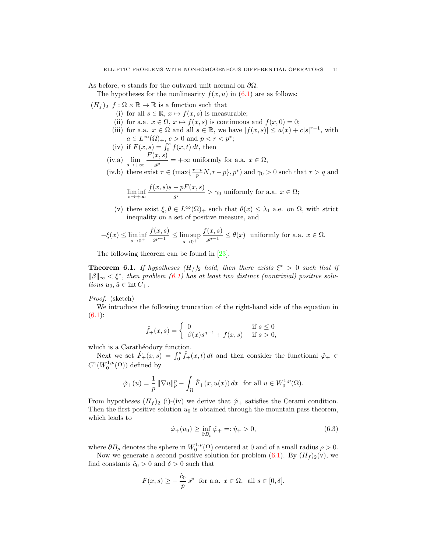As before, *n* stands for the outward unit normal on  $\partial\Omega$ .

The hypotheses for the nonlinearity  $f(x, u)$  in  $(6.1)$  are as follows:

 $(H_f)_2$  f :  $\Omega \times \mathbb{R} \to \mathbb{R}$  is a function such that

- (i) for all  $s \in \mathbb{R}$ ,  $x \mapsto f(x, s)$  is measurable;
- (ii) for a.a.  $x \in \Omega$ ,  $x \mapsto f(x, s)$  is continuous and  $f(x, 0) = 0$ ;
- (iii) for a.a.  $x \in \Omega$  and all  $s \in \mathbb{R}$ , we have  $|f(x, s)| \leq a(x) + c|s|^{r-1}$ , with  $a \in L^{\infty}(\Omega)_{+}$ ,  $c > 0$  and  $p < r < p^*$ ;
- (iv) if  $F(x, s) = \int_0^s f(x, t) dt$ , then 0
- (iv.a)  $\lim_{s \to +\infty} \frac{F(x, s)}{s^p}$  $\frac{\partial}{\partial s^p}$  = + $\infty$  uniformly for a.a.  $x \in \Omega$ ,
- (iv.b) there exist  $\tau \in (\max\{\frac{r-p}{p}N, r-p\}, p^*)$  and  $\gamma_0 > 0$  such that  $\tau > q$  and

$$
\liminf_{s \to +\infty} \frac{f(x,s)s - pF(x,s)}{s^{\tau}} > \gamma_0
$$
 uniformly for a.a.  $x \in \Omega$ ;

(v) there exist  $\xi, \theta \in L^{\infty}(\Omega)_{+}$  such that  $\theta(x) \leq \lambda_1$  a.e. on  $\Omega$ , with strict inequality on a set of positive measure, and

$$
-\xi(x) \le \liminf_{s \to 0^+} \frac{f(x,s)}{s^{p-1}} \le \limsup_{s \to 0^+} \frac{f(x,s)}{s^{p-1}} \le \theta(x) \text{ uniformly for a.a. } x \in \Omega.
$$

The following theorem can be found in [\[23\]](#page-18-19).

<span id="page-10-1"></span>**Theorem 6.1.** If hypotheses  $(H_f)_2$  hold, then there exists  $\xi^* > 0$  such that if  $\|\beta\|_{\infty} < \xi^*$ , then problem [\(6.1\)](#page-9-1) has at least two distinct (nontrivial) positive solutions  $u_0, \hat{u} \in \text{int } C_+.$ 

Proof. (sketch)

We introduce the following truncation of the right-hand side of the equation in  $(6.1):$  $(6.1):$ 

$$
\hat{f}_+(x,s) = \begin{cases} 0 & \text{if } s \le 0\\ \beta(x)s^{q-1} + f(x,s) & \text{if } s > 0, \end{cases}
$$

which is a Caratheodory function.

Next we set  $\hat{F}_+(x,s) = \int_0^s \hat{f}_+(x,t) dt$  and then consider the functional  $\hat{\varphi}_+ \in$  $C^1(W_0^{1,p}(\Omega))$  defined by

$$
\hat{\varphi}_+(u)=\frac{1}{p}\,\|\nabla u\|_p^p-\int_\Omega \hat{F}_+(x,u(x))\,dx\,\,\text{ for all } u\in W^{1,p}_0(\Omega).
$$

From hypotheses  $(H_f)_2$  (i)-(iv) we derive that  $\hat{\varphi}_+$  satisfies the Cerami condition. Then the first positive solution  $u_0$  is obtained through the mountain pass theorem, which leads to

<span id="page-10-0"></span>
$$
\hat{\varphi}_+(u_0) \ge \inf_{\partial B_{\rho}} \hat{\varphi}_+ =: \hat{\eta}_+ > 0,\tag{6.3}
$$

where  $\partial B_{\rho}$  denotes the sphere in  $W_0^{1,p}(\Omega)$  centered at 0 and of a small radius  $\rho > 0$ .

Now we generate a second positive solution for problem  $(6.1)$ . By  $(H_f)_2(v)$ , we find constants  $\hat{c}_0 > 0$  and  $\delta > 0$  such that

$$
F(x,s) \ge -\frac{\hat{c}_0}{p} s^p \text{ for a.a. } x \in \Omega, \text{ all } s \in [0,\delta].
$$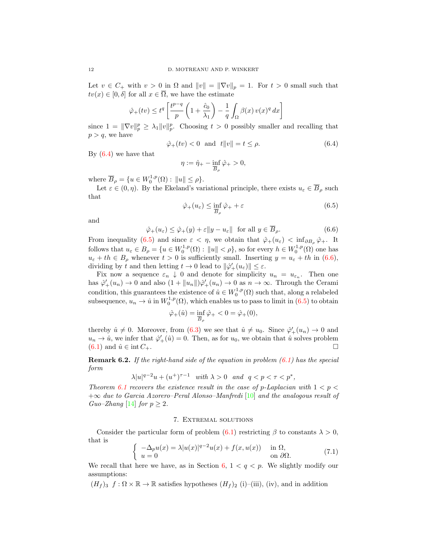Let  $v \in C_+$  with  $v > 0$  in  $\Omega$  and  $||v|| = ||\nabla v||_p = 1$ . For  $t > 0$  small such that  $tv(x) \in [0, \delta]$  for all  $x \in \overline{\Omega}$ , we have the estimate

$$
\hat{\varphi}_+(tv) \le t^q \left[ \frac{t^{p-q}}{p} \left( 1 + \frac{\hat{c}_0}{\lambda_1} \right) - \frac{1}{q} \int_{\Omega} \beta(x) \, v(x)^q \, dx \right]
$$

since  $1 = \|\nabla v\|_p^p \geq \lambda_1 \|v\|_p^p$ . Choosing  $t > 0$  possibly smaller and recalling that  $p > q$ , we have

<span id="page-11-1"></span>
$$
\hat{\varphi}_+(tv) < 0 \quad \text{and} \quad t \|v\| = t \le \rho. \tag{6.4}
$$

By [\(6.4\)](#page-11-1) we have that

$$
\eta := \hat{\eta}_+ - \inf_{\overline{B}_{\rho}} \hat{\varphi}_+ > 0,
$$

where  $\overline{B}_{\rho} = \{u \in W_0^{1,p}(\Omega) : ||u|| \le \rho\}.$ 

Let  $\varepsilon \in (0, \eta)$ . By the Ekeland's variational principle, there exists  $u_{\varepsilon} \in \overline{B}_{\rho}$  such that

<span id="page-11-2"></span>
$$
\hat{\varphi}_{+}(u_{\varepsilon}) \le \inf_{\overline{B}_{\rho}} \hat{\varphi}_{+} + \varepsilon \tag{6.5}
$$

and

<span id="page-11-3"></span>
$$
\hat{\varphi}_+(u_{\varepsilon}) \le \hat{\varphi}_+(y) + \varepsilon \|y - u_{\varepsilon}\| \quad \text{for all } y \in \overline{B}_{\rho}.\tag{6.6}
$$

From inequality [\(6.5\)](#page-11-2) and since  $\varepsilon < \eta$ , we obtain that  $\hat{\varphi}_+(u_{\varepsilon}) < \inf_{\partial B_{\rho}} \hat{\varphi}_+$ . It follows that  $u_{\varepsilon} \in B_{\rho} = \{u \in W_0^{1,p}(\Omega) : ||u|| < \rho\}$ , so for every  $h \in W_0^{1,p}(\Omega)$  one has  $u_{\varepsilon} + th \in B_{\rho}$  whenever  $t > 0$  is sufficiently small. Inserting  $y = u_{\varepsilon} + th$  in [\(6.6\)](#page-11-3), dividing by t and then letting  $t \to 0$  lead to  $\|\hat{\varphi}'_+(u_\varepsilon)\| \leq \varepsilon$ .

Fix now a sequence  $\varepsilon_n \downarrow 0$  and denote for simplicity  $u_n = u_{\varepsilon_n}$ . Then one has  $\hat{\varphi}'_+(u_n) \to 0$  and also  $(1 + ||u_n||)\hat{\varphi}'_+(u_n) \to 0$  as  $n \to \infty$ . Through the Cerami condition, this guarantees the existence of  $\hat{u} \in W_0^{1,p}(\Omega)$  such that, along a relabeled subsequence,  $u_n \to \hat{u}$  in  $W_0^{1,p}(\Omega)$ , which enables us to pass to limit in  $(6.5)$  to obtain

$$
\hat{\varphi}_{+}(\hat{u}) = \inf_{\overline{B}_{\rho}} \hat{\varphi}_{+} < 0 = \hat{\varphi}_{+}(0),
$$

thereby  $\hat{u} \neq 0$ . Moreover, from [\(6.3\)](#page-10-0) we see that  $\hat{u} \neq u_0$ . Since  $\hat{\varphi}'_+(u_n) \to 0$  and  $u_n \to \hat{u}$ , we infer that  $\hat{\varphi}'_+(\hat{u}) = 0$ . Then, as for  $u_0$ , we obtain that  $\hat{u}$  solves problem  $(6.1)$  and  $\hat{u} \in \text{int } C_+$ .

**Remark 6.2.** If the right-hand side of the equation in problem  $(6.1)$  has the special form

$$
\lambda |u|^{q-2}u + (u^+)^{\tau-1} \quad with \ \lambda > 0 \quad and \quad q < p < \tau < p^*,
$$

Theorem [6.1](#page-10-1) recovers the existence result in the case of p-Laplacian with  $1 < p <$  $+\infty$  due to Garcia Azorero–Peral Alonso–Manfredi [\[10\]](#page-18-9) and the analogous result of  $Guo–Zhang$  [\[14\]](#page-18-10) for  $p \geq 2$ .

# 7. Extremal solutions

<span id="page-11-0"></span>Consider the particular form of problem  $(6.1)$  restricting  $\beta$  to constants  $\lambda > 0$ , that is

<span id="page-11-4"></span>
$$
\begin{cases}\n-\Delta_p u(x) = \lambda |u(x)|^{q-2} u(x) + f(x, u(x)) & \text{in } \Omega, \\
u = 0 & \text{on } \partial\Omega.\n\end{cases}
$$
\n(7.1)

We recall that here we have, as in Section [6,](#page-9-0)  $1 < q < p$ . We slightly modify our assumptions:

 $(H_f)_3$   $f : \Omega \times \mathbb{R} \to \mathbb{R}$  satisfies hypotheses  $(H_f)_2$  (i)–(iii), (iv), and in addition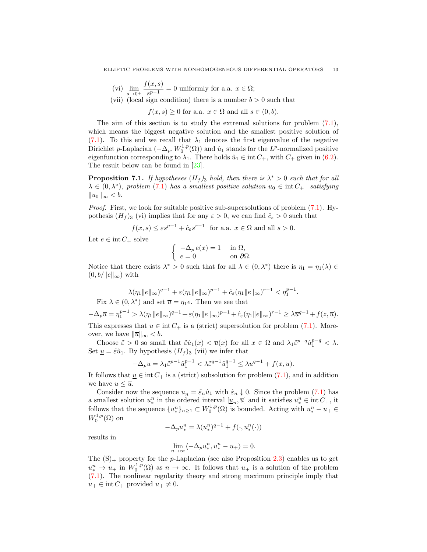(vi) 
$$
\lim_{s \to 0^+} \frac{f(x, s)}{s^{p-1}} = 0
$$
 uniformly for a.a.  $x \in \Omega$ ;

(vii) (local sign condition) there is a number  $b > 0$  such that

 $f(x, s) \geq 0$  for a.a.  $x \in \Omega$  and all  $s \in (0, b)$ .

The aim of this section is to study the extremal solutions for problem [\(7.1\)](#page-11-4), which means the biggest negative solution and the smallest positive solution of [\(7.1\)](#page-11-4). To this end we recall that  $\lambda_1$  denotes the first eigenvalue of the negative Dirichlet p-Laplacian  $(-\Delta_p, W_0^{1,p}(\Omega))$  and  $\hat{u}_1$  stands for the L<sup>p</sup>-normalized positive eigenfunction corresponding to  $\lambda_1$ . There holds  $\hat{u}_1 \in \text{int } C_+$ , with  $C_+$  given in [\(6.2\)](#page-9-2). The result below can be found in [\[23\]](#page-18-19).

<span id="page-12-0"></span>**Proposition 7.1.** If hypotheses  $(H_f)$ <sub>3</sub> hold, then there is  $\lambda^* > 0$  such that for all  $\lambda \in (0, \lambda^*)$ , problem (7.[1\)](#page-11-4) has a smallest positive solution  $u_0 \in \text{int } C_+$  satisfying  $||u_0||_{\infty} < b.$ 

Proof. First, we look for suitable positive sub-supersolutions of problem  $(7.1)$ . Hypothesis  $(H_f)$ <sub>3</sub> (vi) implies that for any  $\varepsilon > 0$ , we can find  $\hat{c}_\varepsilon > 0$  such that

$$
f(x, s) \le \varepsilon s^{p-1} + \hat{c}_{\varepsilon} s^{r-1}
$$
 for a.a.  $x \in \Omega$  and all  $s > 0$ .

Let  $e \in \text{int } C_+$  solve

$$
\begin{cases}\n-\Delta_p e(x) = 1 & \text{in } \Omega, \\
e = 0 & \text{on } \partial\Omega.\n\end{cases}
$$

Notice that there exists  $\lambda^* > 0$  such that for all  $\lambda \in (0, \lambda^*)$  there is  $\eta_1 = \eta_1(\lambda) \in$  $(0, b/\|e\|_{\infty})$  with

$$
\lambda(\eta_1 \|e\|_{\infty})^{q-1} + \varepsilon(\eta_1 \|e\|_{\infty})^{p-1} + \hat{c}_{\varepsilon}(\eta_1 \|e\|_{\infty})^{r-1} < \eta_1^{p-1}.
$$
  
Fix  $\lambda \in (0, \lambda^*)$  and set  $\overline{u} = \eta_1 e$ . Then we see that

$$
-\Delta_p \overline{u} = \eta_1^{p-1} > \lambda(\eta_1 \|e\|_{\infty})^{q-1} + \varepsilon(\eta_1 \|e\|_{\infty})^{p-1} + \hat{c}_{\varepsilon}(\eta_1 \|e\|_{\infty})^{r-1} \ge \lambda \overline{u}^{q-1} + f(z, \overline{u}).
$$

This expresses that  $\overline{u} \in \text{int } C_+$  is a (strict) supersolution for problem [\(7.1\)](#page-11-4). Moreover, we have  $\|\overline{u}\|_{\infty} < b$ .

Choose  $\tilde{\varepsilon} > 0$  so small that  $\tilde{\varepsilon} \hat{u}_1(x) < \overline{u}(x)$  for all  $x \in \Omega$  and  $\lambda_1 \tilde{\varepsilon}^{p-q} \hat{u}_1^{p-q} < \lambda$ . Set  $\underline{u} = \tilde{\varepsilon} \hat{u}_1$ . By hypothesis  $(H_f)_3$  (vii) we infer that

$$
-\Delta_p \underline{u} = \lambda_1 \tilde{\varepsilon}^{p-1} \hat{u}_1^{p-1} < \lambda \tilde{\varepsilon}^{q-1} \hat{u}_1^{q-1} \le \lambda \underline{u}^{q-1} + f(x, \underline{u}).
$$

It follows that  $\underline{u} \in \text{int } C_+$  is a (strict) subsolution for problem [\(7.1\)](#page-11-4), and in addition we have  $\underline{u} \leq \overline{u}$ .

Consider now the sequence  $\underline{u}_n = \tilde{\varepsilon}_n \hat{u}_1$  with  $\tilde{\varepsilon}_n \downarrow 0$ . Since the problem [\(7.1\)](#page-11-4) has a smallest solution  $u_*^n$  in the ordered interval  $[\underline{u}_n, \overline{u}]$  and it satisfies  $u_*^n \in \text{int } C_+$ , it follows that the sequence  $\{u_*^n\}_{n\geq 1} \subset W_0^{1,p}(\Omega)$  is bounded. Acting with  $u_*^n - u_+ \in$  $W_0^{1,p}(\Omega)$  on

$$
-\Delta_p u^n_* = \lambda (u^n_*)^{q-1} + f(\cdot,u^n_*(\cdot))
$$

results in

$$
\lim_{n \to \infty} \langle -\Delta_p u^n_*, u^n_* - u_+ \rangle = 0.
$$

The  $(S)_+$  property for the *p*-Laplacian (see also Proposition [2.3\)](#page-4-3) enables us to get  $u_*^n \to u_+$  in  $W_0^{1,p}(\Omega)$  as  $n \to \infty$ . It follows that  $u_+$  is a solution of the problem [\(7.1\)](#page-11-4). The nonlinear regularity theory and strong maximum principle imply that  $u_+ \in \text{int } C_+$  provided  $u_+ \neq 0$ .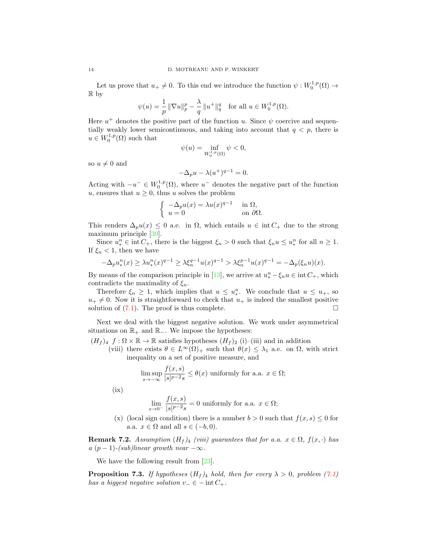Let us prove that  $u_+ \neq 0$ . To this end we introduce the function  $\psi : W_0^{1,p}(\Omega) \to$ R by

$$
\psi(u) = \frac{1}{p} \|\nabla u\|_p^p - \frac{\lambda}{q} \, \|u^+\|_q^q \quad \text{for all } u \in W_0^{1,p}(\Omega).
$$

Here  $u^+$  denotes the positive part of the function u. Since  $\psi$  coercive and sequentially weakly lower semicontinuous, and taking into account that  $q < p$ , there is  $u \in W_0^{1,p}(\Omega)$  such that

$$
\psi(u) = \inf_{W_0^{1,p}(\Omega)} \psi < 0,
$$

so  $u \neq 0$  and

$$
-\Delta_p u - \lambda (u^+)^{q-1} = 0.
$$

Acting with  $-u^{-} \in W_0^{1,p}(\Omega)$ , where  $u^{-}$  denotes the negative part of the function u, ensures that  $u \geq 0$ , thus u solves the problem

$$
\begin{cases}\n-\Delta_p u(x) = \lambda u(x)^{q-1} & \text{in } \Omega, \\
u = 0 & \text{on } \partial\Omega.\n\end{cases}
$$

This renders  $\Delta_p u(x) \leq 0$  a.e. in  $\Omega$ , which entails  $u \in \text{int } C_+$  due to the strong maximum principle [\[30\]](#page-19-4).

Since  $u_*^n \in \text{int } C_+$ , there is the biggest  $\xi_n > 0$  such that  $\xi_n u \leq u_*^n$  for all  $n \geq 1$ . If  $\xi_n < 1$ , then we have

$$
-\Delta_p u_*^n(x) \ge \lambda u_*^n(x)^{q-1} \ge \lambda \xi_n^{q-1} u(x)^{q-1} > \lambda \xi_n^{p-1} u(x)^{q-1} = -\Delta_p(\xi_n u)(x).
$$

By means of the comparison principle in [\[13\]](#page-18-20), we arrive at  $u_*^n - \xi_n u \in \text{int } C_+$ , which contradicts the maximality of  $\xi_n$ .

Therefore  $\xi_n \geq 1$ , which implies that  $u \leq u_*^n$ . We conclude that  $u \leq u_+$ , so  $u_+ \neq 0$ . Now it is straightforward to check that  $u_+$  is indeed the smallest positive solution of  $(7.1)$ . The proof is thus complete.

Next we deal with the biggest negative solution. We work under asymmetrical situations on  $\mathbb{R}_+$  and  $\mathbb{R}_-$ . We impose the hypotheses:

- $(H_f)_4$   $f : \Omega \times \mathbb{R} \to \mathbb{R}$  satisfies hypotheses  $(H_f)_2$  (i)–(iii) and in addition
	- (viii) there exists  $\theta \in L^{\infty}(\Omega)_+$  such that  $\theta(x) \leq \lambda_1$  a.e. on  $\Omega$ , with strict inequality on a set of positive measure, and

$$
\limsup_{s \to -\infty} \frac{f(x, s)}{|s|^{p-2} s} \le \theta(x)
$$
 uniformly for a.a.  $x \in \Omega$ ;

 $(ix)$ 

$$
\lim_{s \to 0^-} \frac{f(x, s)}{|s|^{p-2} s} = 0
$$
 uniformly for a.a.  $x \in \Omega$ ;

(x) (local sign condition) there is a number  $b > 0$  such that  $f(x, s) \leq 0$  for a.a.  $x \in \Omega$  and all  $s \in (-b, 0)$ .

**Remark 7.2.** Assumption  $(H_f)_{4}$  (viii) guarantees that for a.a.  $x \in \Omega$ ,  $f(x, \cdot)$  has a  $(p-1)$ -(sub)linear growth near  $-\infty$ .

We have the following result from [\[23\]](#page-18-19).

<span id="page-13-0"></span>**Proposition 7.3.** If hypotheses  $(H_f)_4$  hold, then for every  $\lambda > 0$ , problem [\(7.1\)](#page-11-4) has a biggest negative solution  $v_-\in -\text{int}\,C_+$ .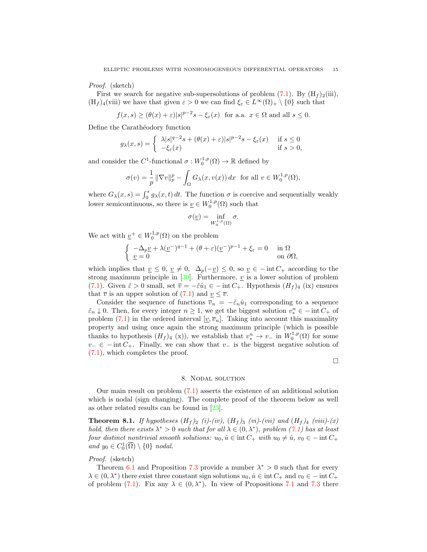Proof. (sketch)

First we search for negative sub-supersolutions of problem  $(7.1)$ . By  $(H_f)_2(iii)$ ,  $(H_f)_4$ (viii) we have that given  $\varepsilon > 0$  we can find  $\xi_{\varepsilon} \in L^{\infty}(\Omega)_{+} \setminus \{0\}$  such that

 $f(x, s) \ge (\theta(x) + \varepsilon)|s|^{p-2}s - \xi_{\varepsilon}(x)$  for a.a.  $x \in \Omega$  and all  $s \le 0$ .

Define the Carathéodory function

$$
g_{\lambda}(x,s) = \begin{cases} \lambda|s|^{q-2}s + (\theta(x)+\varepsilon)|s|^{p-2}s - \xi_{\varepsilon}(x) & \text{if } s \le 0\\ -\xi_{\varepsilon}(x) & \text{if } s > 0, \end{cases}
$$

and consider the  $C^1$ -functional  $\sigma: W_0^{1,p}(\Omega) \to \mathbb{R}$  defined by

$$
\sigma(v) = \frac{1}{p} \|\nabla v\|_p^p - \int_{\Omega} G_{\lambda}(x, v(x)) dx \text{ for all } v \in W_0^{1, p}(\Omega),
$$

where  $G_{\lambda}(x, s) = \int_0^s g_{\lambda}(x, t) dt$ . The function  $\sigma$  is coercive and sequentially weakly lower semicontinuous, so there is  $\underline{v} \in W_0^{1,p}(\Omega)$  such that

$$
\sigma(\underline{v}) = \inf_{W_0^{1,p}(\Omega)} \sigma.
$$

We act with  $\underline{v}^+ \in W_0^{1,p}(\Omega)$  on the problem

$$
\begin{cases}\n-\Delta_p \underline{v} + \lambda (\underline{v}^-)^{q-1} + (\theta + \varepsilon) (\underline{v}^-)^{p-1} + \xi_{\varepsilon} = 0 & \text{in } \Omega \\
\underline{v} = 0 & \text{on } \partial \Omega,\n\end{cases}
$$

which implies that  $\underline{v} \leq 0$ ,  $\underline{v} \neq 0$ ,  $\Delta_p(-\underline{v}) \leq 0$ , so  $\underline{v} \in -\text{int } C_+$  according to the strong maximum principle in  $[30]$ . Furthermore,  $\underline{v}$  is a lower solution of problem [\(7.1\)](#page-11-4). Given  $\tilde{\varepsilon} > 0$  small, set  $\overline{v} = -\tilde{\varepsilon} \hat{u}_1 \in - \text{int } C_+$ . Hypothesis  $(H_f)_4$  (ix) ensures that  $\overline{v}$  is an upper solution of [\(7.1\)](#page-11-4) and  $\underline{v} \leq \overline{v}$ .

Consider the sequence of functions  $\overline{v}_n = -\tilde{\varepsilon}_n \hat{u}_1$  corresponding to a sequence  $\tilde{\varepsilon}_n \downarrow 0$ . Then, for every integer  $n \geq 1$ , we get the biggest solution  $v_*^n \in -\text{int } C_+$  of problem [\(7.1\)](#page-11-4) in the ordered interval  $[v, \overline{v}_n]$ . Taking into account this maximality property and using once again the strong maximum principle (which is possible thanks to hypothesis  $(H_f)_4$  (x)), we establish that  $v_*^n \to v_-$  in  $W_0^{1,p}(\Omega)$  for some  $v_-\in$  − int  $C_+$ . Finally, we can show that  $v_-\,$  is the biggest negative solution of [\(7.1\)](#page-11-4), which completes the proof.

 $\Box$ 

## 8. Nodal solution

<span id="page-14-0"></span>Our main result on problem [\(7.1\)](#page-11-4) asserts the existence of an additional solution which is nodal (sign changing). The complete proof of the theorem below as well as other related results can be found in [\[23\]](#page-18-19).

**Theorem 8.1.** If hypotheses  $(H_f)_2$  (i)-(iv),  $(H_f)_3$  (vi)-(vii) and  $(H_f)_4$  (viii)-(x) hold, then there exists  $\lambda^* > 0$  such that for all  $\lambda \in (0, \lambda^*)$ , problem [\(7.1\)](#page-11-4) has at least four distinct nontrivial smooth solutions:  $u_0, \hat{u} \in \text{int } C_+$  with  $u_0 \neq \hat{u}$ ,  $v_0 \in - \text{int } C_+$ and  $y_0 \in C_0^1(\overline{\Omega}) \setminus \{0\}$  nodal.

# Proof. (sketch)

Theorem [6.1](#page-10-1) and Proposition [7.3](#page-13-0) provide a number  $\lambda^* > 0$  such that for every  $\lambda \in (0, \lambda^*)$  there exist three constant sign solutions  $u_0, \hat{u} \in \text{int } C_+$  and  $v_0 \in - \text{int } C_+$ of problem [\(7.1\)](#page-11-4). Fix any  $\lambda \in (0, \lambda^*)$ . In view of Propositions [7.1](#page-12-0) and [7.3](#page-13-0) there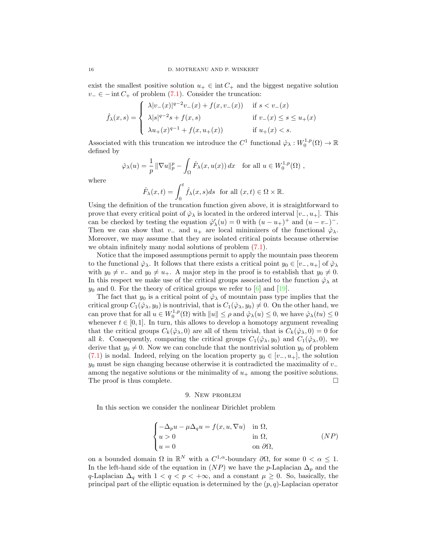exist the smallest positive solution  $u_+ \in \text{int } C_+$  and the biggest negative solution  $v_-\in$  − int  $C_+$  of problem [\(7.1\)](#page-11-4). Consider the truncation:

$$
\hat{f}_{\lambda}(x,s) = \begin{cases}\n\lambda |v_{-}(x)|^{q-2}v_{-}(x) + f(x,v_{-}(x)) & \text{if } s < v_{-}(x) \\
\lambda |s|^{q-2}s + f(x,s) & \text{if } v_{-}(x) \le s \le u_{+}(x) \\
\lambda u_{+}(x)^{q-1} + f(x,u_{+}(x)) & \text{if } u_{+}(x) < s.\n\end{cases}
$$

Associated with this truncation we introduce the  $C^1$  functional  $\hat{\varphi}_\lambda : W_0^{1,p}(\Omega) \to \mathbb{R}$ defined by

$$
\hat{\varphi}_{\lambda}(u) = \frac{1}{p} \left\| \nabla u \right\|_{p}^{p} - \int_{\Omega} \hat{F}_{\lambda}(x, u(x)) dx \quad \text{for all } u \in W_{0}^{1, p}(\Omega) ,
$$

where

$$
\hat{F}_{\lambda}(x,t) = \int_0^t \hat{f}_{\lambda}(x,s)ds \text{ for all } (x,t) \in \Omega \times \mathbb{R}.
$$

Using the definition of the truncation function given above, it is straightforward to prove that every critical point of  $\hat{\varphi}_{\lambda}$  is located in the ordered interval  $[v_-, u_+]$ . This can be checked by testing the equation  $\hat{\varphi}'_{\lambda}(u) = 0$  with  $(u - u_{+})^{+}$  and  $(u - v_{-})^{-}$ . Then we can show that  $v_-\,$  and  $u_+\,$  are local minimizers of the functional  $\hat{\varphi}_{\lambda}$ . Moreover, we may assume that they are isolated critical points because otherwise we obtain infinitely many nodal solutions of problem [\(7.1\)](#page-11-4).

Notice that the imposed assumptions permit to apply the mountain pass theorem to the functional  $\hat{\varphi}_{\lambda}$ . It follows that there exists a critical point  $y_0 \in [v_-, u_+]$  of  $\hat{\varphi}_{\lambda}$ with  $y_0 \neq v_-$  and  $y_0 \neq u_+$ . A major step in the proof is to establish that  $y_0 \neq 0$ . In this respect we make use of the critical groups associated to the function  $\hat{\varphi}_{\lambda}$  at  $y_0$  and 0. For the theory of critical groups we refer to [\[6\]](#page-18-21) and [\[19\]](#page-18-22).

The fact that  $y_0$  is a critical point of  $\hat{\varphi}_{\lambda}$  of mountain pass type implies that the critical group  $C_1(\hat{\varphi}_\lambda, y_0)$  is nontrivial, that is  $C_1(\hat{\varphi}_\lambda, y_0) \neq 0$ . On the other hand, we can prove that for all  $u \in W_0^{1,p}(\Omega)$  with  $||u|| \leq \rho$  and  $\hat{\varphi}_\lambda(u) \leq 0$ , we have  $\hat{\varphi}_\lambda(tu) \leq 0$ whenever  $t \in [0, 1]$ . In turn, this allows to develop a homotopy argument revealing that the critical groups  $C_k(\hat{\varphi}_\lambda, 0)$  are all of them trivial, that is  $C_k(\hat{\varphi}_\lambda, 0) = 0$  for all k. Consequently, comparing the critical groups  $C_1(\hat{\varphi}_\lambda, y_0)$  and  $C_1(\hat{\varphi}_\lambda, 0)$ , we derive that  $y_0 \neq 0$ . Now we can conclude that the nontrivial solution  $y_0$  of problem [\(7.1\)](#page-11-4) is nodal. Indeed, relying on the location property  $y_0 \in [v_-, u_+]$ , the solution  $y_0$  must be sign changing because otherwise it is contradicted the maximality of  $v_$ among the negative solutions or the minimality of  $u_+$  among the positive solutions. The proof is thus complete.  $\Box$ 

## 9. New problem

<span id="page-15-0"></span>In this section we consider the nonlinear Dirichlet problem

$$
\begin{cases}\n-\Delta_p u - \mu \Delta_q u = f(x, u, \nabla u) & \text{in } \Omega, \\
u > 0 & \text{in } \Omega, \\
u = 0 & \text{on } \partial \Omega,\n\end{cases}
$$
\n
$$
(NP)
$$

on a bounded domain  $\Omega$  in  $\mathbb{R}^N$  with a  $C^{1,\alpha}$ -boundary  $\partial\Omega$ , for some  $0 < \alpha \leq 1$ . In the left-hand side of the equation in  $(NP)$  we have the p-Laplacian  $\Delta_p$  and the q-Laplacian  $\Delta_q$  with  $1 < q < p < +\infty$ , and a constant  $\mu \geq 0$ . So, basically, the principal part of the elliptic equation is determined by the  $(p, q)$ -Laplacian operator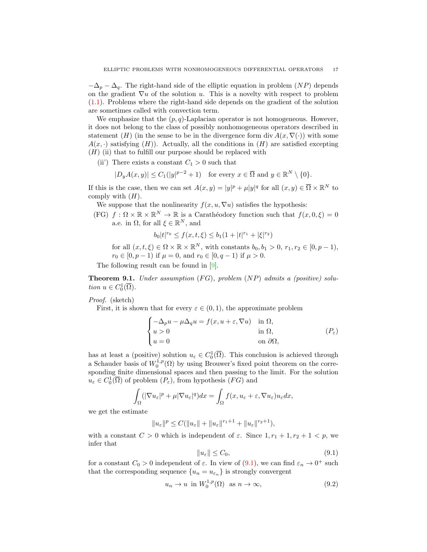$-\Delta_p - \Delta_q$ . The right-hand side of the elliptic equation in problem (NP) depends on the gradient  $\nabla u$  of the solution u. This is a novelty with respect to problem [\(1.1\)](#page-0-0). Problems where the right-hand side depends on the gradient of the solution are sometimes called with convection term.

We emphasize that the  $(p, q)$ -Laplacian operator is not homogeneous. However, it does not belong to the class of possibly nonhomogeneous operators described in statement (H) (in the sense to be in the divergence form div  $A(x, \nabla(\cdot))$  with some  $A(x, \cdot)$  satisfying  $(H)$ ). Actually, all the conditions in  $(H)$  are satisfied excepting  $(H)$  (ii) that to fulfill our purpose should be replaced with

(ii) There exists a constant  $C_1 > 0$  such that

$$
|D_y A(x,y)| \le C_1(|y|^{p-2} + 1) \quad \text{for every } x \in \overline{\Omega} \text{ and } y \in \mathbb{R}^N \setminus \{0\}.
$$

If this is the case, then we can set  $A(x, y) = |y|^p + \mu |y|^q$  for all  $(x, y) \in \overline{\Omega} \times \mathbb{R}^N$  to comply with  $(H)$ .

We suppose that the nonlinearity  $f(x, u, \nabla u)$  satisfies the hypothesis:

(FG)  $f : \Omega \times \mathbb{R} \times \mathbb{R}^N \to \mathbb{R}$  is a Carathéodory function such that  $f(x, 0, \xi) = 0$ a.e. in  $\Omega$ , for all  $\xi \in \mathbb{R}^N$ , and

 $b_0|t|^{r_0} \le f(x,t,\xi) \le b_1(1+|t|^{r_1}+|\xi|^{r_2})$ 

for all  $(x, t, \xi) \in \Omega \times \mathbb{R} \times \mathbb{R}^N$ , with constants  $b_0, b_1 > 0$ ,  $r_1, r_2 \in [0, p-1)$ ,  $r_0 \in [0, p-1)$  if  $\mu = 0$ , and  $r_0 \in [0, q-1)$  if  $\mu > 0$ .

The following result can be found in [\[9\]](#page-18-23).

**Theorem 9.1.** Under assumption  $(FG)$ , problem  $(NP)$  admits a (positive) solution  $u \in C_0^1(\overline{\Omega})$ .

Proof. (sketch)

First, it is shown that for every  $\varepsilon \in (0,1)$ , the approximate problem

$$
\begin{cases}\n-\Delta_p u - \mu \Delta_q u = f(x, u + \varepsilon, \nabla u) & \text{in } \Omega, \\
u > 0 & \text{in } \Omega, \\
u = 0 & \text{on } \partial \Omega,\n\end{cases} (P_{\varepsilon})
$$

has at least a (positive) solution  $u_{\varepsilon} \in C_0^1(\overline{\Omega})$ . This conclusion is achieved through a Schauder basis of  $W_0^{1,p}(\Omega)$  by using Brouwer's fixed point theorem on the corresponding finite dimensional spaces and then passing to the limit. For the solution  $u_{\varepsilon} \in C_0^1(\overline{\Omega})$  of problem  $(P_{\varepsilon})$ , from hypothesis  $(FG)$  and

$$
\int_{\Omega} (|\nabla u_{\varepsilon}|^p + \mu |\nabla u_{\varepsilon}|^q) dx = \int_{\Omega} f(x, u_{\varepsilon} + \varepsilon, \nabla u_{\varepsilon}) u_{\varepsilon} dx,
$$

we get the estimate

$$
||u_{\varepsilon}||^{p} \leq C(||u_{\varepsilon}|| + ||u_{\varepsilon}||^{r_{1}+1} + ||u_{\varepsilon}||^{r_{2}+1}),
$$

with a constant  $C > 0$  which is independent of  $\varepsilon$ . Since  $1, r_1 + 1, r_2 + 1 < p$ , we infer that

<span id="page-16-0"></span>
$$
||u_{\varepsilon}|| \le C_0,\tag{9.1}
$$

for a constant  $C_0 > 0$  independent of  $\varepsilon$ . In view of  $(9.1)$ , we can find  $\varepsilon_n \to 0^+$  such that the corresponding sequence  $\{u_n = u_{\varepsilon_n}\}\$ is strongly convergent

<span id="page-16-1"></span>
$$
u_n \to u \text{ in } W_0^{1,p}(\Omega) \text{ as } n \to \infty,
$$
\n(9.2)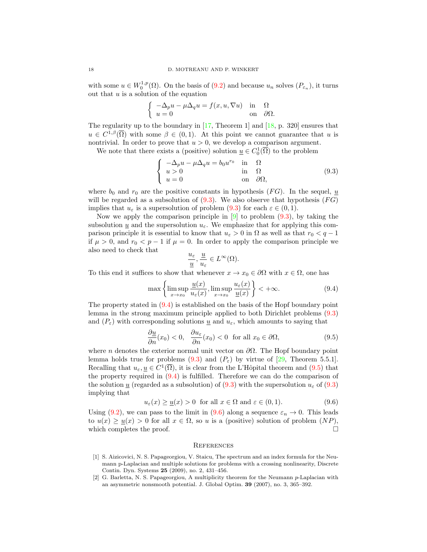with some  $u \in W_0^{1,p}(\Omega)$ . On the basis of  $(9.2)$  and because  $u_n$  solves  $(P_{\varepsilon_n})$ , it turns out that  $u$  is a solution of the equation

$$
\begin{cases}\n-\Delta_p u - \mu \Delta_q u = f(x, u, \nabla u) & \text{in} \quad \Omega \\
u = 0 & \text{on} \quad \partial \Omega.\n\end{cases}
$$

The regularity up to the boundary in [\[17,](#page-18-4) Theorem 1] and [\[18,](#page-18-24) p. 320] ensures that  $u \in C^{1,\beta}(\overline{\Omega})$  with some  $\beta \in (0,1)$ . At this point we cannot guarantee that u is nontrivial. In order to prove that  $u > 0$ , we develop a comparison argument.

We note that there exists a (positive) solution  $\underline{u} \in C_0^1(\overline{\Omega})$  to the problem

<span id="page-17-2"></span>
$$
\begin{cases}\n-\Delta_p u - \mu \Delta_q u = b_0 u^{r_0} & \text{in} \quad \Omega \\
u > 0 & \text{in} \quad \Omega \\
u = 0 & \text{on} \quad \partial \Omega,\n\end{cases}
$$
\n(9.3)

where  $b_0$  and  $r_0$  are the positive constants in hypothesis (*FG*). In the sequel, <u>u</u> will be regarded as a subsolution of  $(9.3)$ . We also observe that hypothesis  $(FG)$ implies that  $u_{\varepsilon}$  is a supersolution of problem  $(9.3)$  $(9.3)$  for each  $\varepsilon \in (0,1)$ .

Now we apply the comparison principle in  $[9]$  to problem  $(9.3)$  $(9.3)$ , by taking the subsolution  $\underline{u}$  and the supersolution  $u_{\varepsilon}$ . We emphasize that for applying this comparison principle it is essential to know that  $u_{\varepsilon} > 0$  in  $\Omega$  as well as that  $r_0 < q - 1$ if  $\mu > 0$ , and  $r_0 < p - 1$  if  $\mu = 0$ . In order to apply the comparison principle we also need to check that

$$
\frac{u_{\varepsilon}}{\underline{u}}, \frac{\underline{u}}{u_{\varepsilon}} \in L^{\infty}(\Omega).
$$

To this end it suffices to show that whenever  $x \to x_0 \in \partial\Omega$  with  $x \in \Omega$ , one has

<span id="page-17-3"></span>
$$
\max\left\{\limsup_{x\to x_0}\frac{\underline{u}(x)}{u_{\varepsilon}(x)}, \limsup_{x\to x_0}\frac{u_{\varepsilon}(x)}{\underline{u}(x)}\right\} < +\infty.
$$
\n(9.4)

The property stated in [\(9.4\)](#page-17-3) is established on the basis of the Hopf boundary point lemma in the strong maximum principle applied to both Dirichlet problems (9.[3\)](#page-17-2) and  $(P_{\varepsilon})$  with corresponding solutions  $\underline{u}$  and  $u_{\varepsilon}$ , which amounts to saying that

<span id="page-17-4"></span>
$$
\frac{\partial u}{\partial n}(x_0) < 0, \quad \frac{\partial u_\varepsilon}{\partial n}(x_0) < 0 \quad \text{for all } x_0 \in \partial \Omega,\tag{9.5}
$$

where n denotes the exterior normal unit vector on  $\partial\Omega$ . The Hopf boundary point lemma holds true for problems  $(9.3)$  $(9.3)$  and  $(P_{\varepsilon})$  by virtue of [\[29,](#page-19-5) Theorem 5.5.1]. Recalling that  $u_{\varepsilon}, \underline{u} \in C^1(\overline{\Omega})$ , it is clear from the L'Hôpital theorem and  $(9.5)$  that the property required in  $(9.4)$  is fulfilled. Therefore we can do the comparison of the solution u (regarded as a subsolution) of [\(9.3\)](#page-17-2) with the supersolution  $u<sub>\epsilon</sub>$  of (9.3) implying that

<span id="page-17-5"></span>
$$
u_{\varepsilon}(x) \ge \underline{u}(x) > 0 \quad \text{for all } x \in \Omega \text{ and } \varepsilon \in (0, 1). \tag{9.6}
$$

Using [\(9.2\)](#page-16-1), we can pass to the limit in [\(9.6\)](#page-17-5) along a sequence  $\varepsilon_n \to 0$ . This leads to  $u(x) \ge u(x) > 0$  for all  $x \in \Omega$ , so u is a (positive) solution of problem  $(NP)$ , which completes the proof.  $\Box$ 

#### **REFERENCES**

- <span id="page-17-1"></span>[1] S. Aizicovici, N. S. Papageorgiou, V. Staicu, The spectrum and an index formula for the Neumann p-Laplacian and multiple solutions for problems with a crossing nonlinearity, Discrete Contin. Dyn. Systems 25 (2009), no. 2, 431–456.
- <span id="page-17-0"></span>[2] G. Barletta, N. S. Papageorgiou, A multiplicity theorem for the Neumann p-Laplacian with an asymmetric nonsmooth potential. J. Global Optim. 39 (2007), no. 3, 365–392.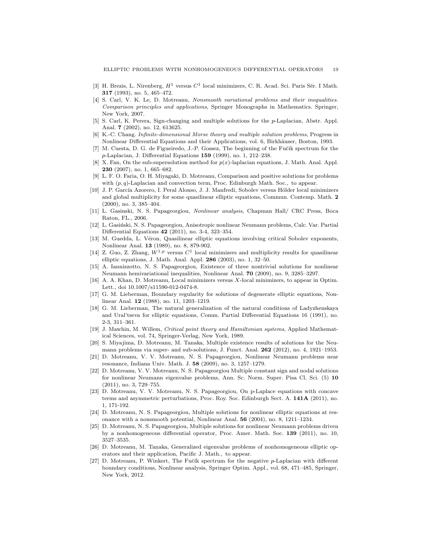- <span id="page-18-8"></span>[3] H. Brezis, L. Nirenberg,  $H^1$  versus  $C^1$  local minimizers, C. R. Acad. Sci. Paris Sér. I Math. 317 (1993), no. 5, 465–472.
- <span id="page-18-1"></span>[4] S. Carl, V. K. Le, D. Motreanu, Nonsmooth variational problems and their inequalities. Comparison principles and applications, Springer Monographs in Mathematics. Springer, New York, 2007.
- <span id="page-18-0"></span>[5] S. Carl, K. Perera, Sign-changing and multiple solutions for the p-Laplacian, Abstr. Appl. Anal. 7 (2002), no. 12, 613625.
- <span id="page-18-21"></span>[6] K.-C. Chang. Infinite-dimensional Morse theory and multiple solution problems, Progress in Nonlinear Differential Equations and their Applications, vol. 6, Birkhäuser, Boston, 1993.
- <span id="page-18-16"></span>[7] M. Cuesta, D. G. de Figueiredo, J.-P. Gossez, The beginning of the Fučik spectrum for the p-Laplacian, J. Differential Equations 159 (1999), no. 1, 212–238.
- <span id="page-18-11"></span>[8] X. Fan, On the sub-supersolution method for  $p(x)$ -laplacian equations, J. Math. Anal. Appl. 230 (2007), no. 1, 665–682.
- <span id="page-18-23"></span>[9] L. F. O. Faria, O. H. Miyagaki, D. Motreanu, Comparison and positive solutions for problems with  $(p, q)$ -Laplacian and convection term, Proc. Edinburgh Math. Soc., to appear.
- <span id="page-18-9"></span>[10] J. P. García Azorero, I. Peral Alonso, J. J. Manfredi, Sobolev versus Hölder local minimizers and global multiplicity for some quasilinear elliptic equations, Commun. Contemp. Math. 2 (2000), no. 3, 385–404.
- <span id="page-18-18"></span>[11] L. Gasinski, N. S. Papageorgiou, Nonlinear analysis, Chapman Hall/ CRC Press, Boca Raton, FL., 2006.
- <span id="page-18-12"></span>[12] L. Gasiński, N. S. Papageorgiou, Anisotropic nonlinear Neumann problems, Calc. Var. Partial Differential Equations 42 (2011), no. 3-4, 323–354.
- <span id="page-18-20"></span>[13] M. Guedda, L. Véron, Quasilinear elliptic equations involving critical Sobolev exponents, Nonlinear Anal. 13 (1989), no. 8, 879-902.
- <span id="page-18-10"></span>[14] Z. Guo, Z. Zhang,  $W^{1,p}$  versus  $C^1$  local minimizers and multiplicity results for quasilinear elliptic equations, J. Math. Anal. Appl. 286 (2003), no. 1, 32–50.
- <span id="page-18-13"></span>[15] A. Iannizzotto, N. S. Papageorgiou, Existence of three nontrivial solutions for nonlinear Neumann hemivariational inequalities, Nonlinear Anal. 70 (2009), no. 9, 3285–3297.
- <span id="page-18-14"></span>[16] A. A. Khan, D. Motreanu, Local minimizers versus X-local minimizers, to appear in Optim. Lett., doi 10.1007/s11590-012-0474-8.
- <span id="page-18-4"></span>[17] G. M. Lieberman, Boundary regularity for solutions of degenerate elliptic equations, Nonlinear Anal. 12 (1988), no. 11, 1203–1219.
- <span id="page-18-24"></span>[18] G. M. Lieberman, The natural generalization of the natural conditions of Ladyzhenskaya and Ural'tseva for elliptic equations, Comm. Partial Differential Equations 16 (1991), no. 2-3, 311–361.
- <span id="page-18-22"></span>[19] J. Mawhin, M. Willem, Critical point theory and Hamiltonian systems, Applied Mathematical Sciences, vol. 74, Springer-Verlag, New York, 1989.
- <span id="page-18-5"></span>[20] S. Miyajima, D. Motreanu, M. Tanaka, Multiple existence results of solutions for the Neumann problems via super- and sub-solutions, J. Funct. Anal. 262 (2012), no. 4, 1921–1953.
- <span id="page-18-7"></span>[21] D. Motreanu, V. V. Motreanu, N. S. Papageorgiou, Nonlinear Neumann problems near resonance, Indiana Univ. Math. J. 58 (2009), no. 3, 1257–1279.
- <span id="page-18-2"></span>[22] D. Motreanu, V. V. Motreanu, N. S. Papageorgiou Multiple constant sign and nodal solutions for nonlinear Neumann eigenvalue problems, Ann. Sc. Norm. Super. Pisa Cl. Sci. (5) 10 (2011), no. 3, 729–755.
- <span id="page-18-19"></span>[23] D. Motreanu, V. V. Motreanu, N. S. Papageorgiou, On p-Laplace equations with concave terms and asymmetric perturbations, Proc. Roy. Soc. Edinburgh Sect. A. 141A (2011), no. 1, 171-192.
- <span id="page-18-15"></span>[24] D. Motreanu, N. S. Papageorgiou, Multiple solutions for nonlinear elliptic equations at resonance with a nonsmooth potential, Nonlinear Anal. 56 (2004), no. 8, 1211–1234.
- <span id="page-18-6"></span>[25] D. Motreanu, N. S. Papageorgiou, Multiple solutions for nonlinear Neumann problems driven by a nonhomogeneous differential operator, Proc. Amer. Math. Soc. 139 (2011), no. 10, 3527–3535.
- <span id="page-18-3"></span>[26] D. Motreanu, M. Tanaka, Generalized eigenvalue problems of nonhomogeneous elliptic operators and their application, Pacific J. Math., to appear.
- <span id="page-18-17"></span>[27] D. Motreanu, P. Winkert, The Fučík spectrum for the negative p-Laplacian with different boundary conditions, Nonlinear analysis, Springer Optim. Appl., vol. 68, 471–485, Springer, New York, 2012.